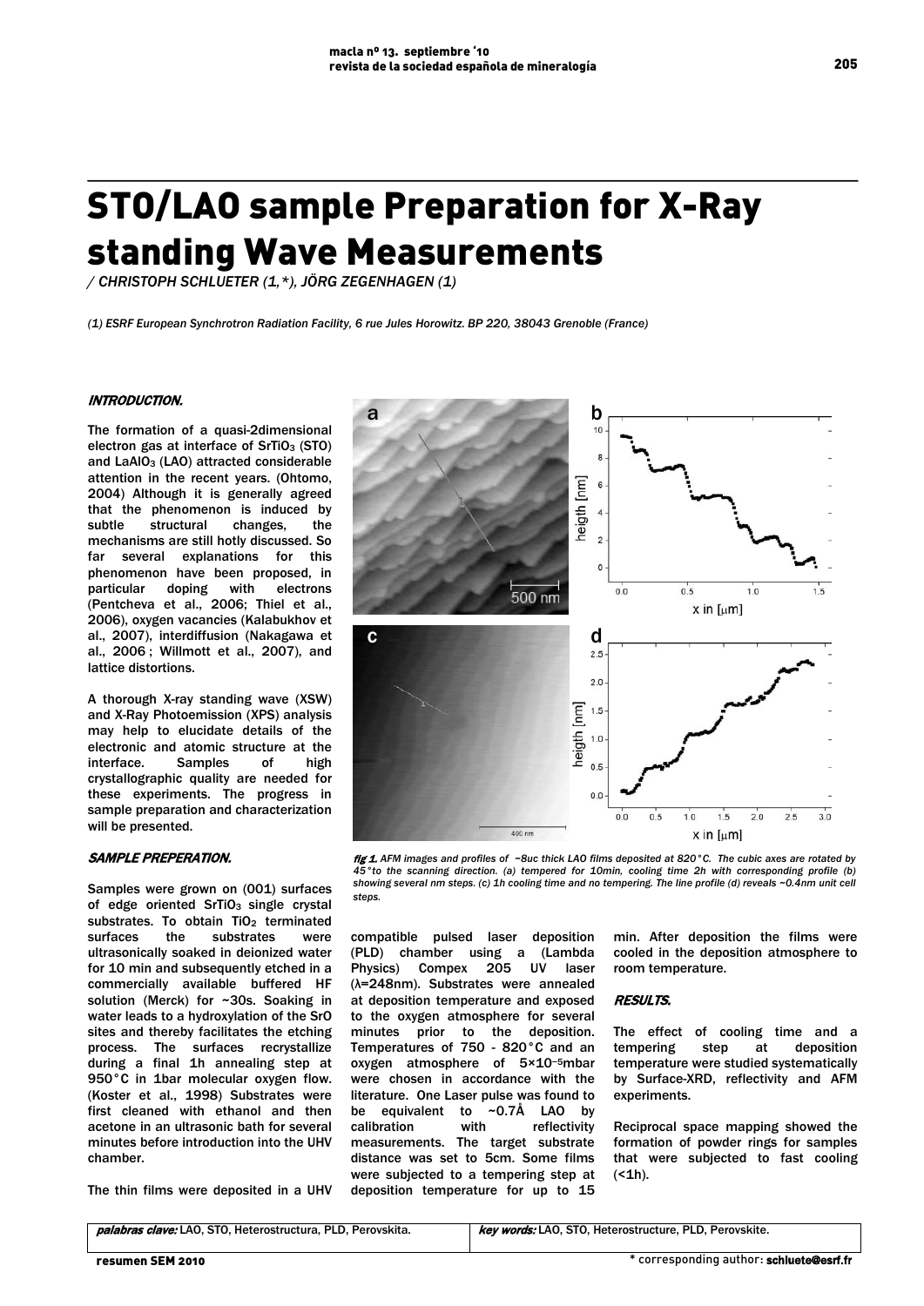# STO/LAO sample Preparation for X-Ray standing Wave Measurements

*/ CHRISTOPH SCHLUETER (1,\*), JÖRG ZEGENHAGEN (1)*

*(1) ESRF European Synchrotron Radiation Facility, 6 rue Jules Horowitz. BP 220, 38043 Grenoble (France)*

# INTRODUCTION.

 The formation of a quasi-2dimensional electron gas at interface of  $SrTiO<sub>3</sub>$  (STO) and LaAIO<sub>3</sub> (LAO) attracted considerable attention in the recent years. (Ohtomo, 2004) Although it is generally agreed that the phenomenon is induced by subtle structural changes, the mechanisms are still hotly discussed. So far several explanations for this phenomenon have been proposed, in<br>particular doping with electrons particular doping with electrons (Pentcheva et al., 2006; Thiel et al., 2006), oxygen vacancies (Kalabukhov et al., 2007), interdiffusion (Nakagawa et al., 2006 ; Willmott et al., 2007), and lattice distortions.

A thorough X-ray standing wave (XSW) and X-Ray Photoemission (XPS) analysis may help to elucidate details of the electronic and atomic structure at the interface. Samples of high crystallographic quality are needed for these experiments. The progress in sample preparation and characterization will be presented.

# SAMPLE PREPERATION.

Samples were grown on (001) surfaces of edge oriented SrTiO<sub>3</sub> single crystal substrates. To obtain TiO<sub>2</sub> terminated surfaces the substrates were ultrasonically soaked in deionized water for 10 min and subsequently etched in a commercially available buffered HF solution (Merck) for ~30s. Soaking in water leads to a hydroxylation of the SrO sites and thereby facilitates the etching process. The surfaces recrystallize during a final 1h annealing step at 950°C in 1bar molecular oxygen flow. (Koster et al., 1998) Substrates were first cleaned with ethanol and then acetone in an ultrasonic bath for several minutes before introduction into the UHV chamber.

The thin films were deposited in a UHV



fig 1. AFM images and profiles of ~8uc thick LAO films deposited at 820°C. The cubic axes are rotated by *45°to the scanning direction. (a) tempered for 10min, cooling time 2h with corresponding profile (b) showing several nm steps. (c) 1h cooling time and no tempering. The line profile (d) reveals ~0.4nm unit cell steps.*

compatible pulsed laser deposition (PLD) chamber using a (Lambda Physics) Compex 205 UV laser (λ=248nm). Substrates were annealed at deposition temperature and exposed to the oxygen atmosphere for several minutes prior to the deposition. Temperatures of 750 - 820°C and an oxygen atmosphere of 5×10−5mbar were chosen in accordance with the literature. One Laser pulse was found to be equivalent to  $\sim 0.7\text{\AA}$  LAO by be equivalent to  $~\sim$ 0.7Å LAO by<br>calibration with reflectivity calibration with reflectivity measurements. The target substrate distance was set to 5cm. Some films were subjected to a tempering step at deposition temperature for up to 15

min. After deposition the films were cooled in the deposition atmosphere to room temperature.

## RESULTS.

The effect of cooling time and a tempering step at deposition temperature were studied systematically by Surface-XRD, reflectivity and AFM experiments.

Reciprocal space mapping showed the formation of powder rings for samples that were subjected to fast cooling  $( < 1h).$